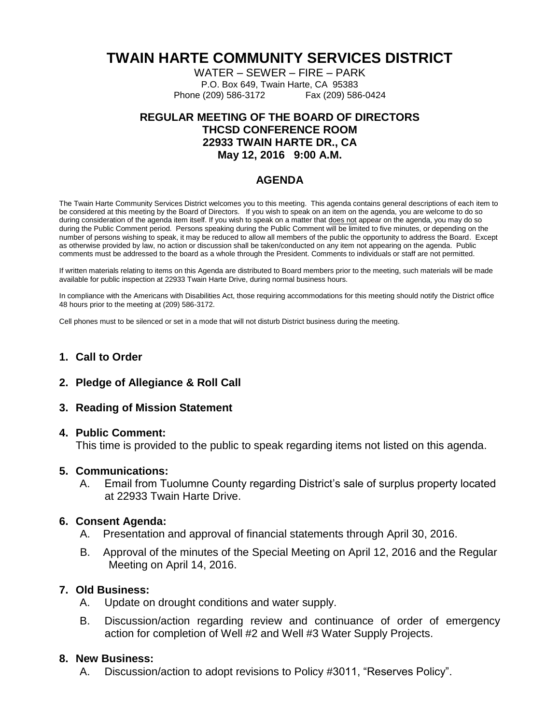# **TWAIN HARTE COMMUNITY SERVICES DISTRICT**

WATER – SEWER – FIRE – PARK P.O. Box 649, Twain Harte, CA 95383 Phone (209) 586-3172 Fax (209) 586-0424

## **REGULAR MEETING OF THE BOARD OF DIRECTORS THCSD CONFERENCE ROOM 22933 TWAIN HARTE DR., CA May 12, 2016 9:00 A.M.**

## **AGENDA**

The Twain Harte Community Services District welcomes you to this meeting. This agenda contains general descriptions of each item to be considered at this meeting by the Board of Directors. If you wish to speak on an item on the agenda, you are welcome to do so during consideration of the agenda item itself. If you wish to speak on a matter that does not appear on the agenda, you may do so during the Public Comment period. Persons speaking during the Public Comment will be limited to five minutes, or depending on the number of persons wishing to speak, it may be reduced to allow all members of the public the opportunity to address the Board. Except as otherwise provided by law, no action or discussion shall be taken/conducted on any item not appearing on the agenda. Public comments must be addressed to the board as a whole through the President. Comments to individuals or staff are not permitted.

If written materials relating to items on this Agenda are distributed to Board members prior to the meeting, such materials will be made available for public inspection at 22933 Twain Harte Drive, during normal business hours.

In compliance with the Americans with Disabilities Act, those requiring accommodations for this meeting should notify the District office 48 hours prior to the meeting at (209) 586-3172.

Cell phones must to be silenced or set in a mode that will not disturb District business during the meeting.

## **1. Call to Order**

**2. Pledge of Allegiance & Roll Call**

### **3. Reading of Mission Statement**

#### **4. Public Comment:**

This time is provided to the public to speak regarding items not listed on this agenda.

#### **5. Communications:**

A. Email from Tuolumne County regarding District's sale of surplus property located at 22933 Twain Harte Drive.

### **6. Consent Agenda:**

- A. Presentation and approval of financial statements through April 30, 2016.
- B. Approval of the minutes of the Special Meeting on April 12, 2016 and the Regular Meeting on April 14, 2016.

## **7. Old Business:**

- A. Update on drought conditions and water supply.
- B. Discussion/action regarding review and continuance of order of emergency action for completion of Well #2 and Well #3 Water Supply Projects.

### **8. New Business:**

A. Discussion/action to adopt revisions to Policy #3011, "Reserves Policy".